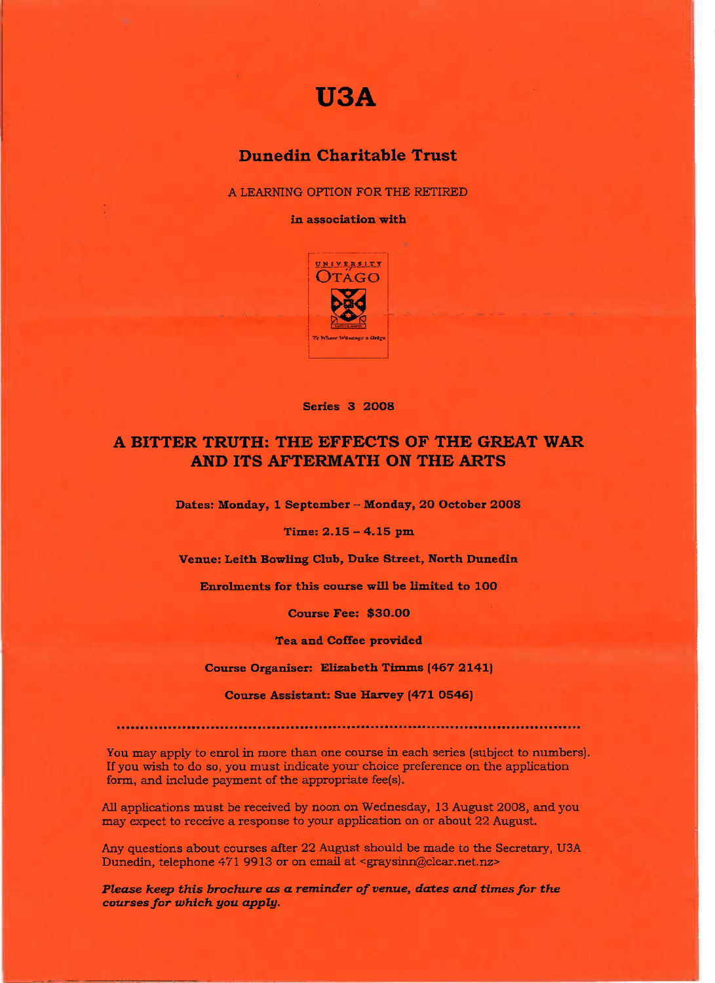## **USA**

## **Dunedin Charitable Trust**

A LEARNING OPTION FOR THE RETIRED

**in association with**



**Series 3 2O08**

## **A BITTER TRUTH: THE EFFECTS OF THE GREAT WAR AND ITS AFTERMATH ON THE ARTS**

**Dates: Monday, 1 September - Monday, 2O October 2008**

**Time: 2.15 - 4.15 pm**

**Venue:** Leith **Bowling Club, Duke Street, North Dunedin**

**Enrolments for this course will be limited to 100**

**Course Fee: \$30.00**

**Tea and Coffee provided**

**Course Organiser: Elizabeth Timms (467 2141)**

**Course Assistant: Sue Harvey (471 O546)**

You may apply to enrol in more than one course in each series (subject to numbers). If you wish to do so, you must indicate your choice preference on the application form, and include payment of the appropriate fee(s).

All applications must be received by noon on Wednesday, 13 August 2008, and you may expect to receive a response to your application on or about 22 August.

Any questions about courses after 22 August should be made to the Secretary, U3A Dunedin, telephone 471 9913 or on email at <graysinn@clear.net.nz>

*Please keep this brochure as a reminder of venue, dates and times for the courses for which you apply.*